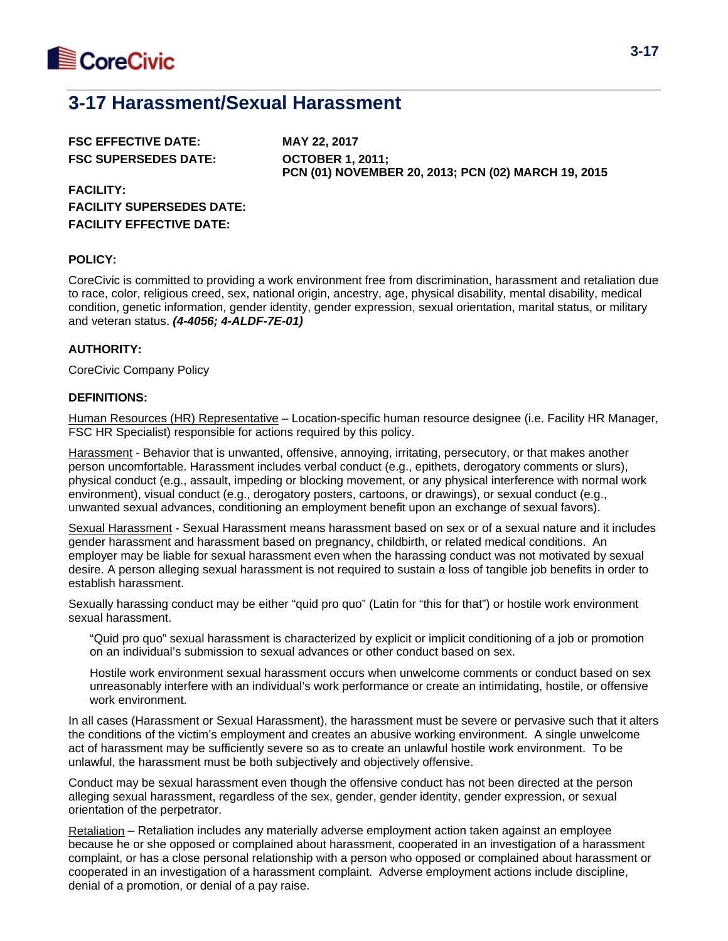

# **3-17 Harassment/Sexual Harassment**

| <b>FSC EFFECTIVE DATE:</b>  |  |
|-----------------------------|--|
| <b>FSC SUPERSEDES DATE:</b> |  |

**FSC EFFECTIVE DATE: MAY 22, 2017 FSC SUPERSEDES DATE: OCTOBER 1, 2011; PCN (01) NOVEMBER 20, 2013; PCN (02) MARCH 19, 2015**

**FACILITY: FACILITY SUPERSEDES DATE: FACILITY EFFECTIVE DATE:**

## **POLICY:**

CoreCivic is committed to providing a work environment free from discrimination, harassment and retaliation due to race, color, religious creed, sex, national origin, ancestry, age, physical disability, mental disability, medical condition, genetic information, gender identity, gender expression, sexual orientation, marital status, or military and veteran status. *(4-4056; 4-ALDF-7E-01)*

## **AUTHORITY:**

CoreCivic Company Policy

## **DEFINITIONS:**

Human Resources (HR) Representative - Location-specific human resource designee (i.e. Facility HR Manager, FSC HR Specialist) responsible for actions required by this policy.

Harassment - Behavior that is unwanted, offensive, annoying, irritating, persecutory, or that makes another person uncomfortable. Harassment includes verbal conduct (e.g., epithets, derogatory comments or slurs), physical conduct (e.g., assault, impeding or blocking movement, or any physical interference with normal work environment), visual conduct (e.g., derogatory posters, cartoons, or drawings), or sexual conduct (e.g., unwanted sexual advances, conditioning an employment benefit upon an exchange of sexual favors).

Sexual Harassment - Sexual Harassment means harassment based on sex or of a sexual nature and it includes gender harassment and harassment based on pregnancy, childbirth, or related medical conditions. An employer may be liable for sexual harassment even when the harassing conduct was not motivated by sexual desire. A person alleging sexual harassment is not required to sustain a loss of tangible job benefits in order to establish harassment.

Sexually harassing conduct may be either "quid pro quo" (Latin for "this for that") or hostile work environment sexual harassment.

"Quid pro quo" sexual harassment is characterized by explicit or implicit conditioning of a job or promotion on an individual's submission to sexual advances or other conduct based on sex.

Hostile work environment sexual harassment occurs when unwelcome comments or conduct based on sex unreasonably interfere with an individual's work performance or create an intimidating, hostile, or offensive work environment.

In all cases (Harassment or Sexual Harassment), the harassment must be severe or pervasive such that it alters the conditions of the victim's employment and creates an abusive working environment. A single unwelcome act of harassment may be sufficiently severe so as to create an unlawful hostile work environment. To be unlawful, the harassment must be both subjectively and objectively offensive.

Conduct may be sexual harassment even though the offensive conduct has not been directed at the person alleging sexual harassment, regardless of the sex, gender, gender identity, gender expression, or sexual orientation of the perpetrator.

Retaliation – Retaliation includes any materially adverse employment action taken against an employee because he or she opposed or complained about harassment, cooperated in an investigation of a harassment complaint, or has a close personal relationship with a person who opposed or complained about harassment or cooperated in an investigation of a harassment complaint. Adverse employment actions include discipline, denial of a promotion, or denial of a pay raise.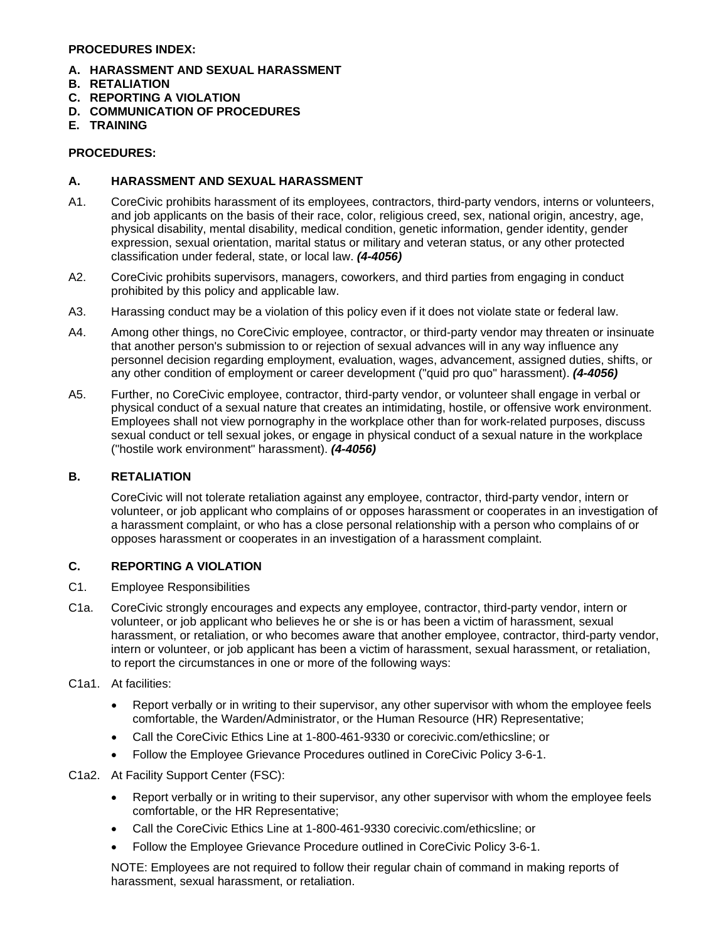#### **PROCEDURES INDEX:**

- **A. HARASSMENT AND SEXUAL HARASSMENT**
- **B. RETALIATION**
- **C. REPORTING A VIOLATION**
- **D. COMMUNICATION OF PROCEDURES**
- **E. TRAINING**

#### **PROCEDURES:**

#### **A. HARASSMENT AND SEXUAL HARASSMENT**

- A1. CoreCivic prohibits harassment of its employees, contractors, third-party vendors, interns or volunteers, and job applicants on the basis of their race, color, religious creed, sex, national origin, ancestry, age, physical disability, mental disability, medical condition, genetic information, gender identity, gender expression, sexual orientation, marital status or military and veteran status, or any other protected classification under federal, state, or local law. *(4-4056)*
- A2. CoreCivic prohibits supervisors, managers, coworkers, and third parties from engaging in conduct prohibited by this policy and applicable law.
- A3. Harassing conduct may be a violation of this policy even if it does not violate state or federal law.
- A4. Among other things, no CoreCivic employee, contractor, or third-party vendor may threaten or insinuate that another person's submission to or rejection of sexual advances will in any way influence any personnel decision regarding employment, evaluation, wages, advancement, assigned duties, shifts, or any other condition of employment or career development ("quid pro quo" harassment). *(4-4056)*
- A5. Further, no CoreCivic employee, contractor, third-party vendor, or volunteer shall engage in verbal or physical conduct of a sexual nature that creates an intimidating, hostile, or offensive work environment. Employees shall not view pornography in the workplace other than for work-related purposes, discuss sexual conduct or tell sexual jokes, or engage in physical conduct of a sexual nature in the workplace ("hostile work environment" harassment). *(4-4056)*

## **B. RETALIATION**

CoreCivic will not tolerate retaliation against any employee, contractor, third-party vendor, intern or volunteer, or job applicant who complains of or opposes harassment or cooperates in an investigation of a harassment complaint, or who has a close personal relationship with a person who complains of or opposes harassment or cooperates in an investigation of a harassment complaint.

#### **C. REPORTING A VIOLATION**

- C1. Employee Responsibilities
- C1a. CoreCivic strongly encourages and expects any employee, contractor, third-party vendor, intern or volunteer, or job applicant who believes he or she is or has been a victim of harassment, sexual harassment, or retaliation, or who becomes aware that another employee, contractor, third-party vendor, intern or volunteer, or job applicant has been a victim of harassment, sexual harassment, or retaliation, to report the circumstances in one or more of the following ways:
- C1a1. At facilities:
	- Report verbally or in writing to their supervisor, any other supervisor with whom the employee feels comfortable, the Warden/Administrator, or the Human Resource (HR) Representative;
	- Call the CoreCivic Ethics Line at 1-800-461-9330 or corecivic.com/ethicsline; or
	- Follow the Employee Grievance Procedures outlined in CoreCivic Policy 3-6-1.

C1a2. At Facility Support Center (FSC):

- Report verbally or in writing to their supervisor, any other supervisor with whom the employee feels comfortable, or the HR Representative;
- Call the CoreCivic Ethics Line at 1-800-461-9330 corecivic.com/ethicsline; or
- Follow the Employee Grievance Procedure outlined in CoreCivic Policy 3-6-1.

NOTE: Employees are not required to follow their regular chain of command in making reports of harassment, sexual harassment, or retaliation.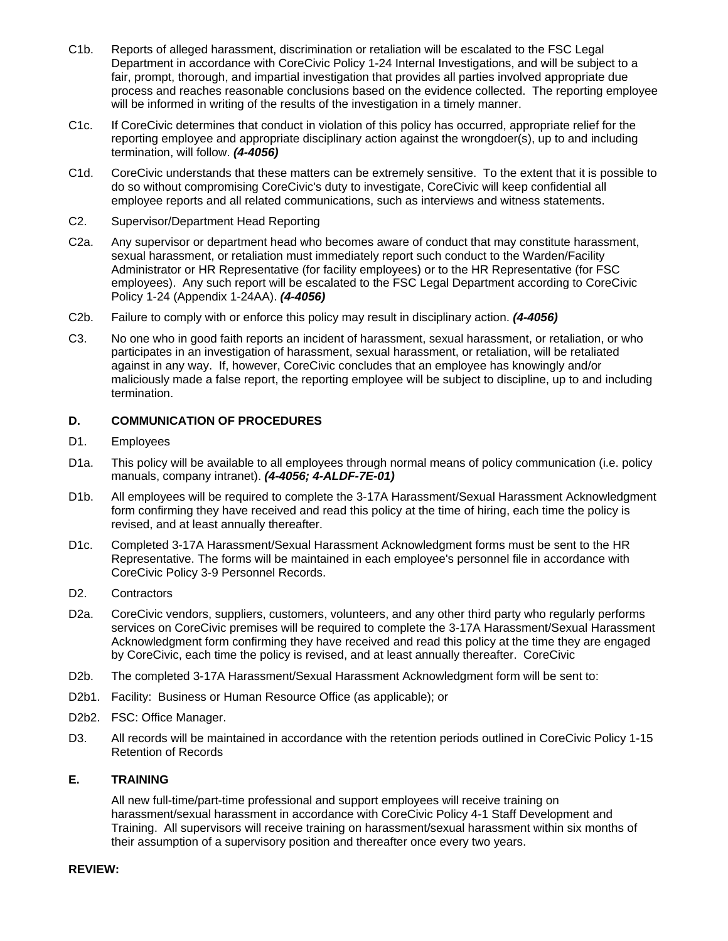- C1b. Reports of alleged harassment, discrimination or retaliation will be escalated to the FSC Legal Department in accordance with CoreCivic Policy 1-24 Internal Investigations, and will be subject to a fair, prompt, thorough, and impartial investigation that provides all parties involved appropriate due process and reaches reasonable conclusions based on the evidence collected. The reporting employee will be informed in writing of the results of the investigation in a timely manner.
- C1c. If CoreCivic determines that conduct in violation of this policy has occurred, appropriate relief for the reporting employee and appropriate disciplinary action against the wrongdoer(s), up to and including termination, will follow. *(4-4056)*
- C1d. CoreCivic understands that these matters can be extremely sensitive. To the extent that it is possible to do so without compromising CoreCivic's duty to investigate, CoreCivic will keep confidential all employee reports and all related communications, such as interviews and witness statements.
- C2. Supervisor/Department Head Reporting
- C2a. Any supervisor or department head who becomes aware of conduct that may constitute harassment, sexual harassment, or retaliation must immediately report such conduct to the Warden/Facility Administrator or HR Representative (for facility employees) or to the HR Representative (for FSC employees). Any such report will be escalated to the FSC Legal Department according to CoreCivic Policy 1-24 (Appendix 1-24AA). *(4-4056)*
- C2b. Failure to comply with or enforce this policy may result in disciplinary action. *(4-4056)*
- C3. No one who in good faith reports an incident of harassment, sexual harassment, or retaliation, or who participates in an investigation of harassment, sexual harassment, or retaliation, will be retaliated against in any way. If, however, CoreCivic concludes that an employee has knowingly and/or maliciously made a false report, the reporting employee will be subject to discipline, up to and including termination.

## **D. COMMUNICATION OF PROCEDURES**

- D1. Employees
- D1a. This policy will be available to all employees through normal means of policy communication (i.e. policy manuals, company intranet). *(4-4056; 4-ALDF-7E-01)*
- D1b. All employees will be required to complete the 3-17A Harassment/Sexual Harassment Acknowledgment form confirming they have received and read this policy at the time of hiring, each time the policy is revised, and at least annually thereafter.
- D1c. Completed 3-17A Harassment/Sexual Harassment Acknowledgment forms must be sent to the HR Representative. The forms will be maintained in each employee's personnel file in accordance with CoreCivic Policy 3-9 Personnel Records.
- D2. Contractors
- D2a. CoreCivic vendors, suppliers, customers, volunteers, and any other third party who regularly performs services on CoreCivic premises will be required to complete the 3-17A Harassment/Sexual Harassment Acknowledgment form confirming they have received and read this policy at the time they are engaged by CoreCivic, each time the policy is revised, and at least annually thereafter. CoreCivic
- D2b. The completed 3-17A Harassment/Sexual Harassment Acknowledgment form will be sent to:
- D2b1. Facility: Business or Human Resource Office (as applicable); or
- D2b2. FSC: Office Manager.
- D3. All records will be maintained in accordance with the retention periods outlined in CoreCivic Policy 1-15 Retention of Records

## **E. TRAINING**

All new full-time/part-time professional and support employees will receive training on harassment/sexual harassment in accordance with CoreCivic Policy 4-1 Staff Development and Training. All supervisors will receive training on harassment/sexual harassment within six months of their assumption of a supervisory position and thereafter once every two years.

### **REVIEW:**